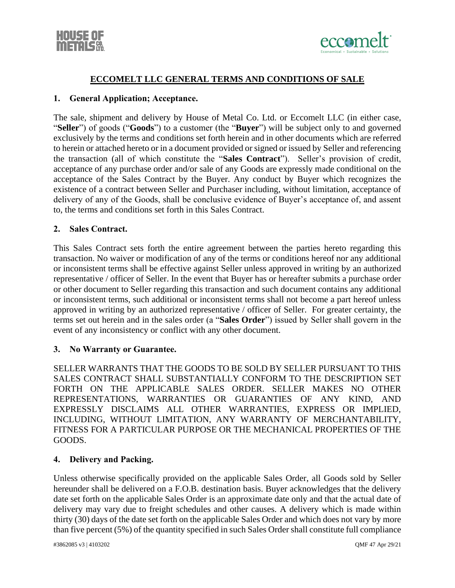



## **ECCOMELT LLC GENERAL TERMS AND CONDITIONS OF SALE**

#### **1. General Application; Acceptance.**

The sale, shipment and delivery by House of Metal Co. Ltd. or Eccomelt LLC (in either case, "**Seller**") of goods ("**Goods**") to a customer (the "**Buyer**") will be subject only to and governed exclusively by the terms and conditions set forth herein and in other documents which are referred to herein or attached hereto or in a document provided or signed or issued by Seller and referencing the transaction (all of which constitute the "**Sales Contract**"). Seller's provision of credit, acceptance of any purchase order and/or sale of any Goods are expressly made conditional on the acceptance of the Sales Contract by the Buyer. Any conduct by Buyer which recognizes the existence of a contract between Seller and Purchaser including, without limitation, acceptance of delivery of any of the Goods, shall be conclusive evidence of Buyer's acceptance of, and assent to, the terms and conditions set forth in this Sales Contract.

#### **2. Sales Contract.**

This Sales Contract sets forth the entire agreement between the parties hereto regarding this transaction. No waiver or modification of any of the terms or conditions hereof nor any additional or inconsistent terms shall be effective against Seller unless approved in writing by an authorized representative / officer of Seller. In the event that Buyer has or hereafter submits a purchase order or other document to Seller regarding this transaction and such document contains any additional or inconsistent terms, such additional or inconsistent terms shall not become a part hereof unless approved in writing by an authorized representative / officer of Seller. For greater certainty, the terms set out herein and in the sales order (a "**Sales Order**") issued by Seller shall govern in the event of any inconsistency or conflict with any other document.

#### **3. No Warranty or Guarantee.**

SELLER WARRANTS THAT THE GOODS TO BE SOLD BY SELLER PURSUANT TO THIS SALES CONTRACT SHALL SUBSTANTIALLY CONFORM TO THE DESCRIPTION SET FORTH ON THE APPLICABLE SALES ORDER. SELLER MAKES NO OTHER REPRESENTATIONS, WARRANTIES OR GUARANTIES OF ANY KIND, AND EXPRESSLY DISCLAIMS ALL OTHER WARRANTIES, EXPRESS OR IMPLIED, INCLUDING, WITHOUT LIMITATION, ANY WARRANTY OF MERCHANTABILITY, FITNESS FOR A PARTICULAR PURPOSE OR THE MECHANICAL PROPERTIES OF THE GOODS.

#### **4. Delivery and Packing.**

Unless otherwise specifically provided on the applicable Sales Order, all Goods sold by Seller hereunder shall be delivered on a F.O.B. destination basis. Buyer acknowledges that the delivery date set forth on the applicable Sales Order is an approximate date only and that the actual date of delivery may vary due to freight schedules and other causes. A delivery which is made within thirty (30) days of the date set forth on the applicable Sales Order and which does not vary by more than five percent (5%) of the quantity specified in such Sales Order shall constitute full compliance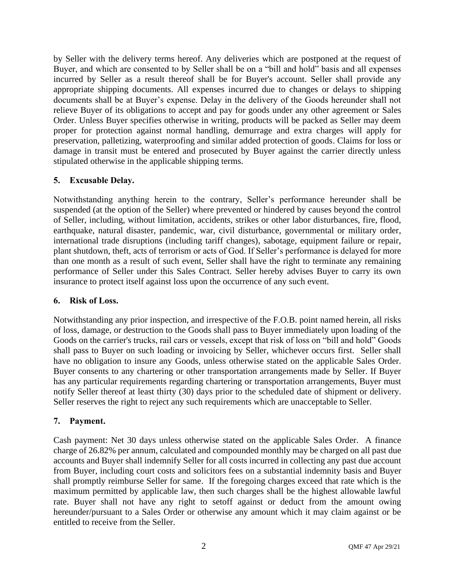by Seller with the delivery terms hereof. Any deliveries which are postponed at the request of Buyer, and which are consented to by Seller shall be on a "bill and hold" basis and all expenses incurred by Seller as a result thereof shall be for Buyer's account. Seller shall provide any appropriate shipping documents. All expenses incurred due to changes or delays to shipping documents shall be at Buyer's expense. Delay in the delivery of the Goods hereunder shall not relieve Buyer of its obligations to accept and pay for goods under any other agreement or Sales Order. Unless Buyer specifies otherwise in writing, products will be packed as Seller may deem proper for protection against normal handling, demurrage and extra charges will apply for preservation, palletizing, waterproofing and similar added protection of goods. Claims for loss or damage in transit must be entered and prosecuted by Buyer against the carrier directly unless stipulated otherwise in the applicable shipping terms.

## **5. Excusable Delay.**

Notwithstanding anything herein to the contrary, Seller's performance hereunder shall be suspended (at the option of the Seller) where prevented or hindered by causes beyond the control of Seller, including, without limitation, accidents, strikes or other labor disturbances, fire, flood, earthquake, natural disaster, pandemic, war, civil disturbance, governmental or military order, international trade disruptions (including tariff changes), sabotage, equipment failure or repair, plant shutdown, theft, acts of terrorism or acts of God. If Seller's performance is delayed for more than one month as a result of such event, Seller shall have the right to terminate any remaining performance of Seller under this Sales Contract. Seller hereby advises Buyer to carry its own insurance to protect itself against loss upon the occurrence of any such event.

### **6. Risk of Loss.**

Notwithstanding any prior inspection, and irrespective of the F.O.B. point named herein, all risks of loss, damage, or destruction to the Goods shall pass to Buyer immediately upon loading of the Goods on the carrier's trucks, rail cars or vessels, except that risk of loss on "bill and hold" Goods shall pass to Buyer on such loading or invoicing by Seller, whichever occurs first. Seller shall have no obligation to insure any Goods, unless otherwise stated on the applicable Sales Order. Buyer consents to any chartering or other transportation arrangements made by Seller. If Buyer has any particular requirements regarding chartering or transportation arrangements, Buyer must notify Seller thereof at least thirty (30) days prior to the scheduled date of shipment or delivery. Seller reserves the right to reject any such requirements which are unacceptable to Seller.

### **7. Payment.**

Cash payment: Net 30 days unless otherwise stated on the applicable Sales Order. A finance charge of 26.82% per annum, calculated and compounded monthly may be charged on all past due accounts and Buyer shall indemnify Seller for all costs incurred in collecting any past due account from Buyer, including court costs and solicitors fees on a substantial indemnity basis and Buyer shall promptly reimburse Seller for same. If the foregoing charges exceed that rate which is the maximum permitted by applicable law, then such charges shall be the highest allowable lawful rate. Buyer shall not have any right to setoff against or deduct from the amount owing hereunder/pursuant to a Sales Order or otherwise any amount which it may claim against or be entitled to receive from the Seller.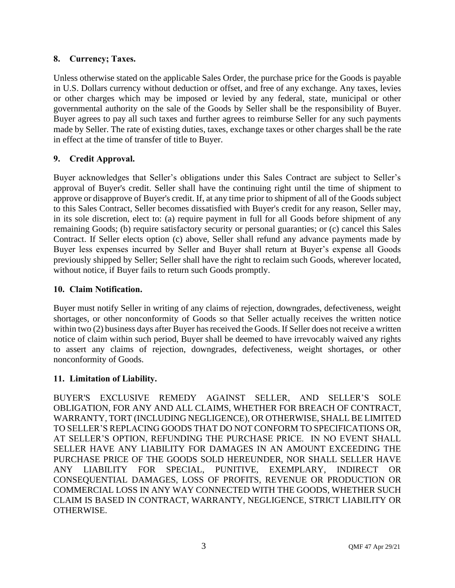## **8. Currency; Taxes.**

Unless otherwise stated on the applicable Sales Order, the purchase price for the Goods is payable in U.S. Dollars currency without deduction or offset, and free of any exchange. Any taxes, levies or other charges which may be imposed or levied by any federal, state, municipal or other governmental authority on the sale of the Goods by Seller shall be the responsibility of Buyer. Buyer agrees to pay all such taxes and further agrees to reimburse Seller for any such payments made by Seller. The rate of existing duties, taxes, exchange taxes or other charges shall be the rate in effect at the time of transfer of title to Buyer.

# **9. Credit Approval.**

Buyer acknowledges that Seller's obligations under this Sales Contract are subject to Seller's approval of Buyer's credit. Seller shall have the continuing right until the time of shipment to approve or disapprove of Buyer's credit. If, at any time prior to shipment of all of the Goods subject to this Sales Contract, Seller becomes dissatisfied with Buyer's credit for any reason, Seller may, in its sole discretion, elect to: (a) require payment in full for all Goods before shipment of any remaining Goods; (b) require satisfactory security or personal guaranties; or (c) cancel this Sales Contract. If Seller elects option (c) above, Seller shall refund any advance payments made by Buyer less expenses incurred by Seller and Buyer shall return at Buyer's expense all Goods previously shipped by Seller; Seller shall have the right to reclaim such Goods, wherever located, without notice, if Buyer fails to return such Goods promptly.

## **10. Claim Notification.**

Buyer must notify Seller in writing of any claims of rejection, downgrades, defectiveness, weight shortages, or other nonconformity of Goods so that Seller actually receives the written notice within two (2) business days after Buyer has received the Goods. If Seller does not receive a written notice of claim within such period, Buyer shall be deemed to have irrevocably waived any rights to assert any claims of rejection, downgrades, defectiveness, weight shortages, or other nonconformity of Goods.

# **11. Limitation of Liability.**

BUYER'S EXCLUSIVE REMEDY AGAINST SELLER, AND SELLER'S SOLE OBLIGATION, FOR ANY AND ALL CLAIMS, WHETHER FOR BREACH OF CONTRACT, WARRANTY, TORT (INCLUDING NEGLIGENCE), OR OTHERWISE, SHALL BE LIMITED TO SELLER'S REPLACING GOODS THAT DO NOT CONFORM TO SPECIFICATIONS OR, AT SELLER'S OPTION, REFUNDING THE PURCHASE PRICE. IN NO EVENT SHALL SELLER HAVE ANY LIABILITY FOR DAMAGES IN AN AMOUNT EXCEEDING THE PURCHASE PRICE OF THE GOODS SOLD HEREUNDER, NOR SHALL SELLER HAVE ANY LIABILITY FOR SPECIAL, PUNITIVE, EXEMPLARY, INDIRECT OR CONSEQUENTIAL DAMAGES, LOSS OF PROFITS, REVENUE OR PRODUCTION OR COMMERCIAL LOSS IN ANY WAY CONNECTED WITH THE GOODS, WHETHER SUCH CLAIM IS BASED IN CONTRACT, WARRANTY, NEGLIGENCE, STRICT LIABILITY OR OTHERWISE.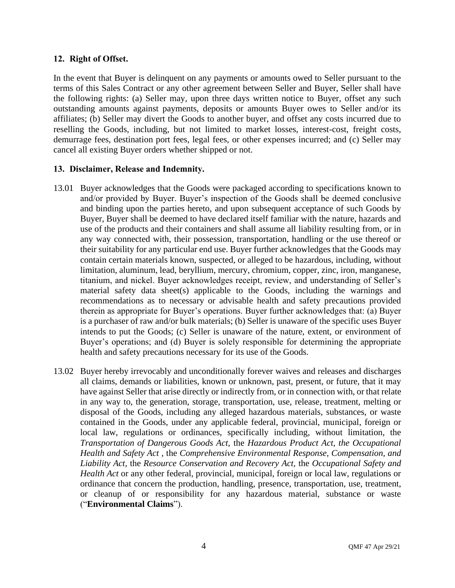### <span id="page-3-0"></span>**12. Right of Offset.**

In the event that Buyer is delinquent on any payments or amounts owed to Seller pursuant to the terms of this Sales Contract or any other agreement between Seller and Buyer, Seller shall have the following rights: (a) Seller may, upon three days written notice to Buyer, offset any such outstanding amounts against payments, deposits or amounts Buyer owes to Seller and/or its affiliates; (b) Seller may divert the Goods to another buyer, and offset any costs incurred due to reselling the Goods, including, but not limited to market losses, interest-cost, freight costs, demurrage fees, destination port fees, legal fees, or other expenses incurred; and (c) Seller may cancel all existing Buyer orders whether shipped or not.

### **13. Disclaimer, Release and Indemnity.**

- 13.01 Buyer acknowledges that the Goods were packaged according to specifications known to and/or provided by Buyer. Buyer's inspection of the Goods shall be deemed conclusive and binding upon the parties hereto, and upon subsequent acceptance of such Goods by Buyer, Buyer shall be deemed to have declared itself familiar with the nature, hazards and use of the products and their containers and shall assume all liability resulting from, or in any way connected with, their possession, transportation, handling or the use thereof or their suitability for any particular end use. Buyer further acknowledges that the Goods may contain certain materials known, suspected, or alleged to be hazardous, including, without limitation, aluminum, lead, beryllium, mercury, chromium, copper, zinc, iron, manganese, titanium, and nickel. Buyer acknowledges receipt, review, and understanding of Seller's material safety data sheet(s) applicable to the Goods, including the warnings and recommendations as to necessary or advisable health and safety precautions provided therein as appropriate for Buyer's operations. Buyer further acknowledges that: (a) Buyer is a purchaser of raw and/or bulk materials; (b) Seller is unaware of the specific uses Buyer intends to put the Goods; (c) Seller is unaware of the nature, extent, or environment of Buyer's operations; and (d) Buyer is solely responsible for determining the appropriate health and safety precautions necessary for its use of the Goods.
- 13.02 Buyer hereby irrevocably and unconditionally forever waives and releases and discharges all claims, demands or liabilities, known or unknown, past, present, or future, that it may have against Seller that arise directly or indirectly from, or in connection with, or that relate in any way to, the generation, storage, transportation, use, release, treatment, melting or disposal of the Goods, including any alleged hazardous materials, substances, or waste contained in the Goods, under any applicable federal, provincial, municipal, foreign or local law, regulations or ordinances, specifically including, without limitation, the *Transportation of Dangerous Goods Act,* the *Hazardous Product Act, the Occupational Health and Safety Act ,* the *Comprehensive Environmental Response, Compensation, and Liability Act,* the *Resource Conservation and Recovery Act,* the *Occupational Safety and Health Act* or any other federal, provincial, municipal, foreign or local law, regulations or ordinance that concern the production, handling, presence, transportation, use, treatment, or cleanup of or responsibility for any hazardous material, substance or waste ("**Environmental Claims**").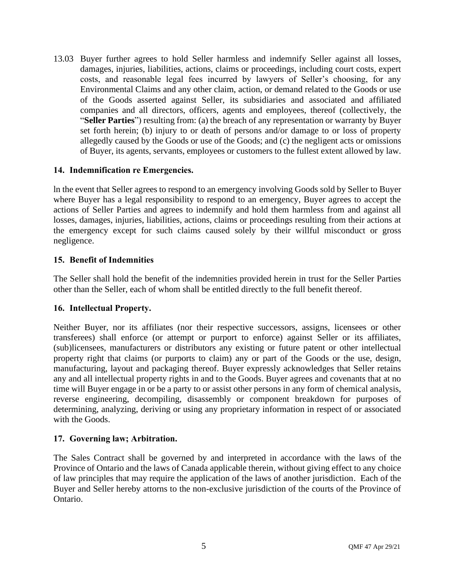13.03 Buyer further agrees to hold Seller harmless and indemnify Seller against all losses, damages, injuries, liabilities, actions, claims or proceedings, including court costs, expert costs, and reasonable legal fees incurred by lawyers of Seller's choosing, for any Environmental Claims and any other claim, action, or demand related to the Goods or use of the Goods asserted against Seller, its subsidiaries and associated and affiliated companies and all directors, officers, agents and employees, thereof (collectively, the "**Seller Parties**") resulting from: (a) the breach of any representation or warranty by Buyer set forth herein; (b) injury to or death of persons and/or damage to or loss of property allegedly caused by the Goods or use of the Goods; and (c) the negligent acts or omissions of Buyer, its agents, servants, employees or customers to the fullest extent allowed by law.

## **14. Indemnification re Emergencies.**

ln the event that Seller agrees to respond to an emergency involving Goods sold by Seller to Buyer where Buyer has a legal responsibility to respond to an emergency, Buyer agrees to accept the actions of Seller Parties and agrees to indemnify and hold them harmless from and against all losses, damages, injuries, liabilities, actions, claims or proceedings resulting from their actions at the emergency except for such claims caused solely by their willful misconduct or gross negligence.

## **15. Benefit of Indemnities**

The Seller shall hold the benefit of the indemnities provided herein in trust for the Seller Parties other than the Seller, each of whom shall be entitled directly to the full benefit thereof.

### **16. Intellectual Property.**

Neither Buyer, nor its affiliates (nor their respective successors, assigns, licensees or other transferees) shall enforce (or attempt or purport to enforce) against Seller or its affiliates, (sub)licensees, manufacturers or distributors any existing or future patent or other intellectual property right that claims (or purports to claim) any or part of the Goods or the use, design, manufacturing, layout and packaging thereof. Buyer expressly acknowledges that Seller retains any and all intellectual property rights in and to the Goods. Buyer agrees and covenants that at no time will Buyer engage in or be a party to or assist other persons in any form of chemical analysis, reverse engineering, decompiling, disassembly or component breakdown for purposes of determining, analyzing, deriving or using any proprietary information in respect of or associated with the Goods.

### **17. Governing law; Arbitration.**

The Sales Contract shall be governed by and interpreted in accordance with the laws of the Province of Ontario and the laws of Canada applicable therein, without giving effect to any choice of law principles that may require the application of the laws of another jurisdiction. Each of the Buyer and Seller hereby attorns to the non-exclusive jurisdiction of the courts of the Province of Ontario.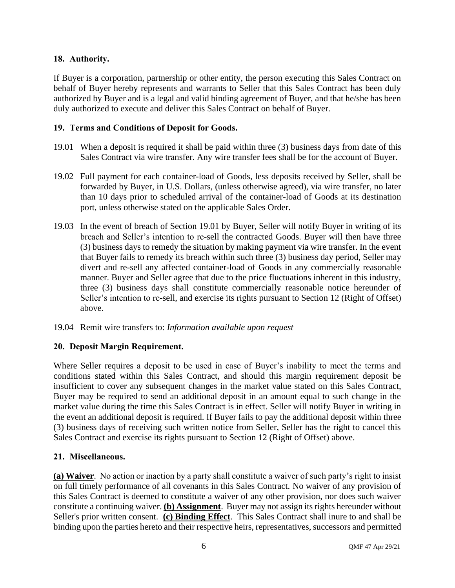## **18. Authority.**

If Buyer is a corporation, partnership or other entity, the person executing this Sales Contract on behalf of Buyer hereby represents and warrants to Seller that this Sales Contract has been duly authorized by Buyer and is a legal and valid binding agreement of Buyer, and that he/she has been duly authorized to execute and deliver this Sales Contract on behalf of Buyer.

### **19. Terms and Conditions of Deposit for Goods.**

- <span id="page-5-0"></span>19.01 When a deposit is required it shall be paid within three (3) business days from date of this Sales Contract via wire transfer. Any wire transfer fees shall be for the account of Buyer.
- 19.02 Full payment for each container-load of Goods, less deposits received by Seller, shall be forwarded by Buyer, in U.S. Dollars, (unless otherwise agreed), via wire transfer, no later than 10 days prior to scheduled arrival of the container-load of Goods at its destination port, unless otherwise stated on the applicable Sales Order.
- 19.03 In the event of breach of Section [19.01](#page-5-0) by Buyer, Seller will notify Buyer in writing of its breach and Seller's intention to re-sell the contracted Goods. Buyer will then have three (3) business days to remedy the situation by making payment via wire transfer. In the event that Buyer fails to remedy its breach within such three (3) business day period, Seller may divert and re-sell any affected container-load of Goods in any commercially reasonable manner. Buyer and Seller agree that due to the price fluctuations inherent in this industry, three (3) business days shall constitute commercially reasonable notice hereunder of Seller's intention to re-sell, and exercise its rights pursuant to Section [12](#page-3-0) (Right of Offset) above.
- 19.04 Remit wire transfers to: *Information available upon request*

### **20. Deposit Margin Requirement.**

Where Seller requires a deposit to be used in case of Buyer's inability to meet the terms and conditions stated within this Sales Contract, and should this margin requirement deposit be insufficient to cover any subsequent changes in the market value stated on this Sales Contract, Buyer may be required to send an additional deposit in an amount equal to such change in the market value during the time this Sales Contract is in effect. Seller will notify Buyer in writing in the event an additional deposit is required. If Buyer fails to pay the additional deposit within three (3) business days of receiving such written notice from Seller, Seller has the right to cancel this Sales Contract and exercise its rights pursuant to Section [12](#page-3-0) (Right of Offset) above.

### **21. Miscellaneous.**

**(a) Waiver**. No action or inaction by a party shall constitute a waiver of such party's right to insist on full timely performance of all covenants in this Sales Contract. No waiver of any provision of this Sales Contract is deemed to constitute a waiver of any other provision, nor does such waiver constitute a continuing waiver. **(b) Assignment**. Buyer may not assign its rights hereunder without Seller's prior written consent. **(c) Binding Effect**. This Sales Contract shall inure to and shall be binding upon the parties hereto and their respective heirs, representatives, successors and permitted